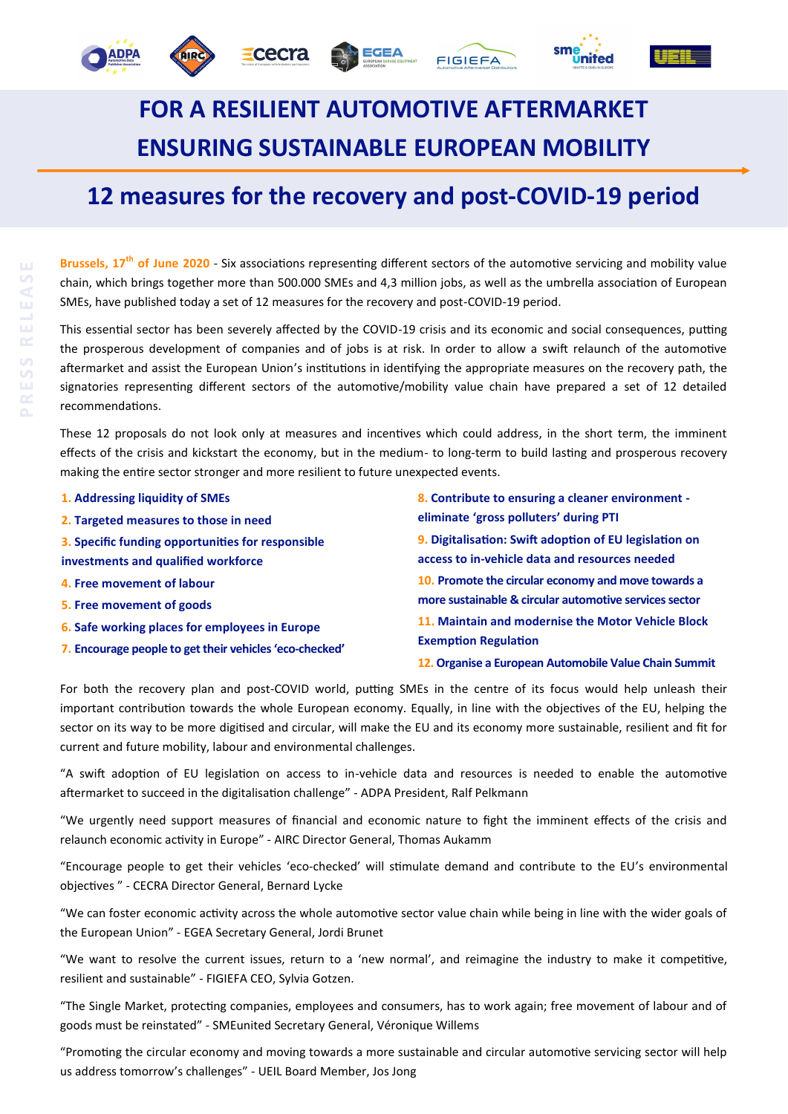## **FOR A RESILIENT AUTOMOTIVE AFTERMARKET ENSURING SUSTAINABLE EUROPEAN MOBILITY**

**FIGIEFA** 

cecra

## **12 measures for the recovery and post-COVID-19 period**

**Brussels, 17th of June 2020** - Six associations representing different sectors of the automotive servicing and mobility value chain, which brings together more than 500.000 SMEs and 4,3 million jobs, as well as the umbrella association of European SMEs, have published today a set of 12 measures for the recovery and post-COVID-19 period.

This essential sector has been severely affected by the COVID-19 crisis and its economic and social consequences, putting the prosperous development of companies and of jobs is at risk. In order to allow a swift relaunch of the automotive aftermarket and assist the European Union's institutions in identifying the appropriate measures on the recovery path, the signatories representing different sectors of the automotive/mobility value chain have prepared a set of 12 detailed recommendations.

These 12 proposals do not look only at measures and incentives which could address, in the short term, the imminent effects of the crisis and kickstart the economy, but in the medium- to long-term to build lasting and prosperous recovery making the entire sector stronger and more resilient to future unexpected events.

| 1. Addressing liquidity of SMEs                         | 8. Contribute to ensuring a cleaner environment -<br>eliminate 'gross polluters' during PTI |  |
|---------------------------------------------------------|---------------------------------------------------------------------------------------------|--|
| 2. Targeted measures to those in need                   |                                                                                             |  |
| 3. Specific funding opportunities for responsible       | 9. Digitalisation: Swift adoption of EU legislation on                                      |  |
| investments and qualified workforce                     | access to in-vehicle data and resources needed                                              |  |
| 4. Free movement of labour                              | 10. Promote the circular economy and move towards a                                         |  |
| 5. Free movement of goods                               | more sustainable & circular automotive services sector                                      |  |
| 6. Safe working places for employees in Europe          | 11. Maintain and modernise the Motor Vehicle Block                                          |  |
| 7. Encourage people to get their vehicles 'eco-checked' | <b>Exemption Regulation</b>                                                                 |  |
|                                                         | 12. Organise a European Automobile Value Chain Summit                                       |  |

For both the recovery plan and post-COVID world, putting SMEs in the centre of its focus would help unleash their important contribution towards the whole European economy. Equally, in line with the objectives of the EU, helping the sector on its way to be more digitised and circular, will make the EU and its economy more sustainable, resilient and fit for current and future mobility, labour and environmental challenges.

"A swift adoption of EU legislation on access to in-vehicle data and resources is needed to enable the automotive aftermarket to succeed in the digitalisation challenge" - ADPA President, Ralf Pelkmann

"We urgently need support measures of financial and economic nature to fight the imminent effects of the crisis and relaunch economic activity in Europe" - AIRC Director General, Thomas Aukamm

"Encourage people to get their vehicles 'eco-checked' will stimulate demand and contribute to the EU's environmental objectives " - CECRA Director General, Bernard Lycke

"We can foster economic activity across the whole automotive sector value chain while being in line with the wider goals of the European Union" - EGEA Secretary General, Jordi Brunet

"We want to resolve the current issues, return to a 'new normal', and reimagine the industry to make it competitive, resilient and sustainable" - FIGIEFA CEO, Sylvia Gotzen.

"The Single Market, protecting companies, employees and consumers, has to work again; free movement of labour and of goods must be reinstated" - SMEunited Secretary General, Véronique Willems

"Promoting the circular economy and moving towards a more sustainable and circular automotive servicing sector will help us address tomorrow's challenges" - UEIL Board Member, Jos Jong